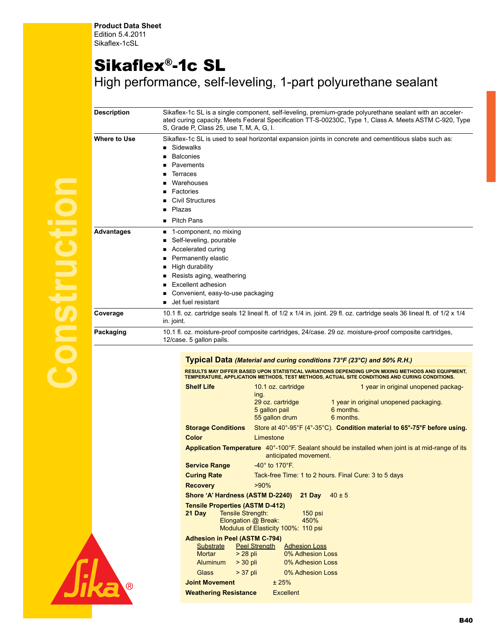## Sikaflex®-1c SL

High performance, self-leveling, 1-part polyurethane sealant

| <b>Description</b> | Sikaflex-1c SL is a single component, self-leveling, premium-grade polyurethane sealant with an acceler-<br>ated curing capacity. Meets Federal Specification TT-S-00230C, Type 1, Class A. Meets ASTM C-920, Type<br>S. Grade P. Class 25, use T. M. A. G. I.        |  |  |  |  |
|--------------------|-----------------------------------------------------------------------------------------------------------------------------------------------------------------------------------------------------------------------------------------------------------------------|--|--|--|--|
| Where to Use       | Sikaflex-1c SL is used to seal horizontal expansion joints in concrete and cementitious slabs such as:<br>Sidewalks<br><b>Balconies</b><br>Pavements<br>Terraces<br>Warehouses<br>Factories<br>Civil Structures<br>Plazas                                             |  |  |  |  |
| <b>Advantages</b>  | <b>Pitch Pans</b><br>▪<br>1-component, no mixing<br>■<br>Self-leveling, pourable<br>Accelerated curing<br>Permanently elastic<br>High durability<br>Resists aging, weathering<br>■<br>Excellent adhesion<br>Convenient, easy-to-use packaging<br>■ Jet fuel resistant |  |  |  |  |
| Coverage           | 10.1 fl. oz. cartridge seals 12 lineal ft. of 1/2 x 1/4 in. joint. 29 fl. oz. cartridge seals 36 lineal ft. of 1/2 x 1/4<br>in. joint.                                                                                                                                |  |  |  |  |
| Packaging          | 10.1 fl. oz. moisture-proof composite cartridges, 24/case. 29 oz. moisture-proof composite cartridges,<br>12/case. 5 gallon pails.                                                                                                                                    |  |  |  |  |
|                    |                                                                                                                                                                                                                                                                       |  |  |  |  |

## **Typical Data** *(Material and curing conditions 73°F (23°C) and 50% R.H.)*